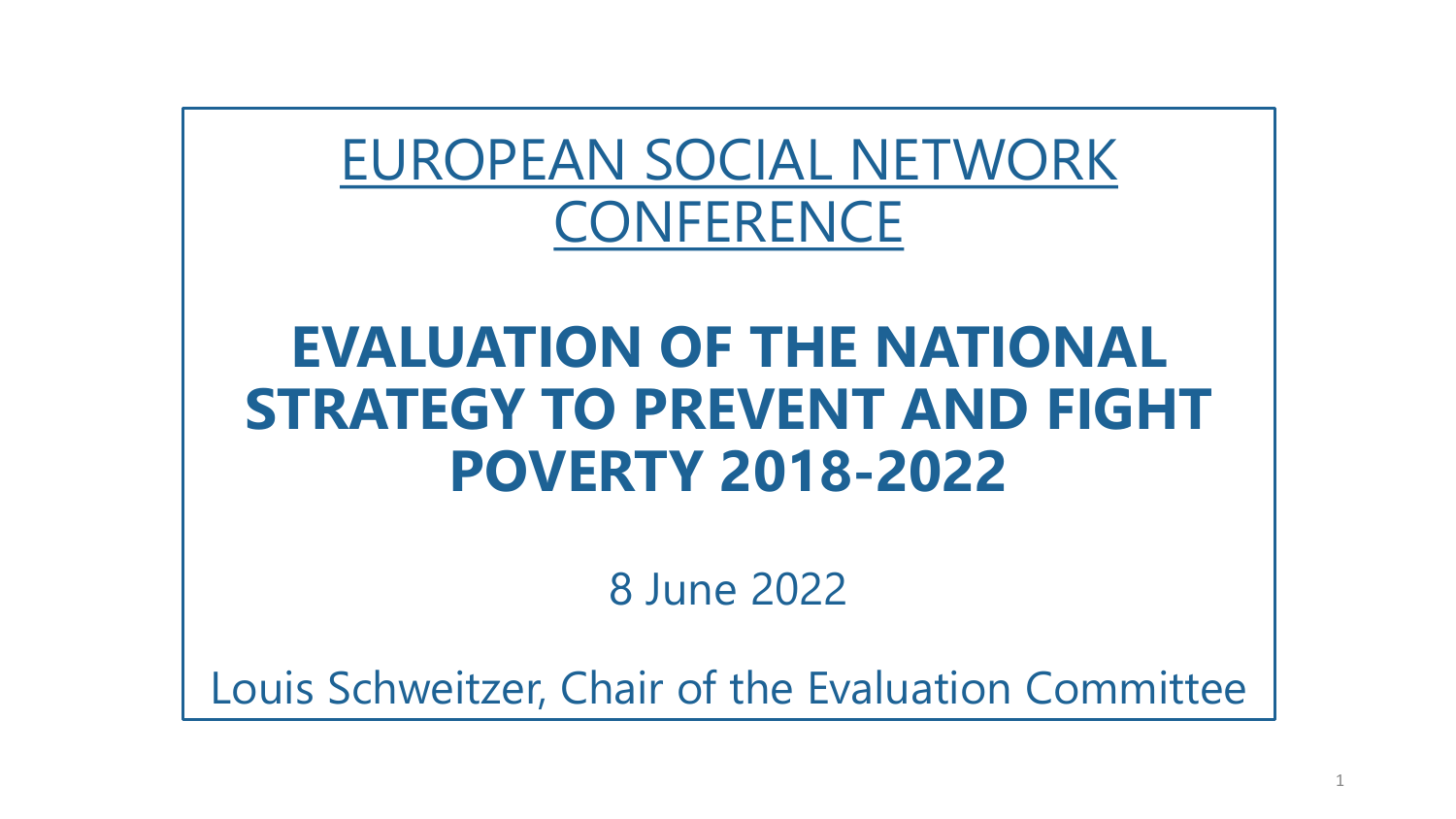#### EUROPEAN SOCIAL NETWORK **CONFERENCE**

#### **EVALUATION OF THE NATIONAL STRATEGY TO PREVENT AND FIGHT POVERTY 2018-2022**

8 June 2022

Louis Schweitzer, Chair of the Evaluation Committee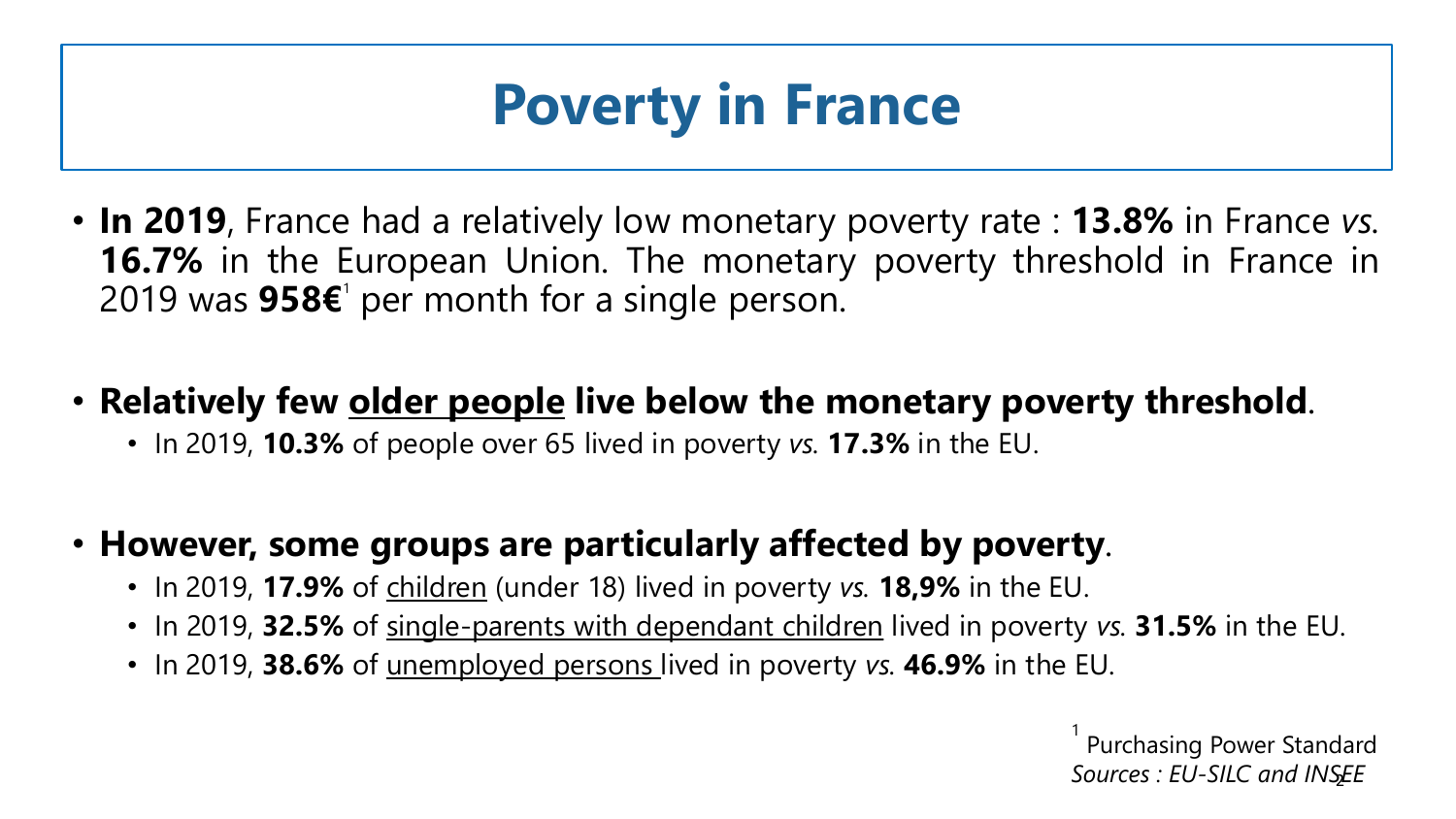### **Poverty in France**

- **In 2019**, France had a relatively low monetary poverty rate : **13.8%** in France *vs.* **16.7%** in the European Union. The monetary poverty threshold in France in 2019 was **958€**<sup>1</sup> per month for a single person.
- **Relatively few older people live below the monetary poverty threshold**.
	- In 2019, **10.3%** of people over 65 lived in poverty *vs.* **17.3%** in the EU.
- **However, some groups are particularly affected by poverty**.
	- In 2019, **17.9%** of children (under 18) lived in poverty *vs.* **18,9%** in the EU.
	- In 2019, **32.5%** of single-parents with dependant children lived in poverty *vs.* **31.5%** in the EU.
	- In 2019, **38.6%** of unemployed persons lived in poverty *vs.* **46.9%** in the EU.

2 *Sources : EU-SILC and INSEE*1 Purchasing Power Standard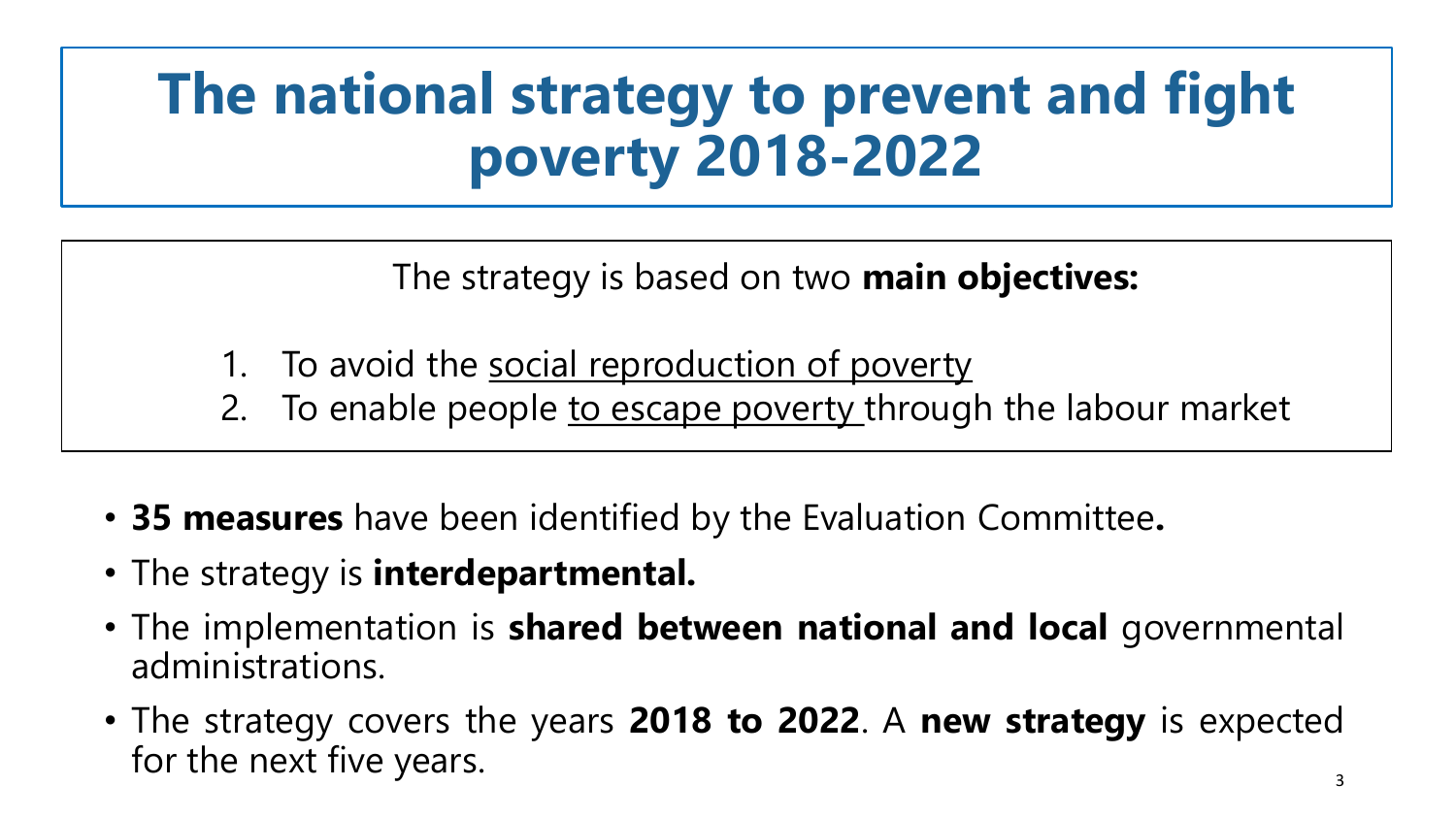### **The national strategy to prevent and fight poverty 2018-2022**

The strategy is based on two **main objectives:**

- To avoid the social reproduction of poverty
- 2. To enable people to escape poverty through the labour market
- **35 measures** have been identified by the Evaluation Committee**.**
- The strategy is **interdepartmental.**
- The implementation is **shared between national and local** governmental administrations.
- The strategy covers the years **2018 to 2022**. A **new strategy** is expected for the next five years.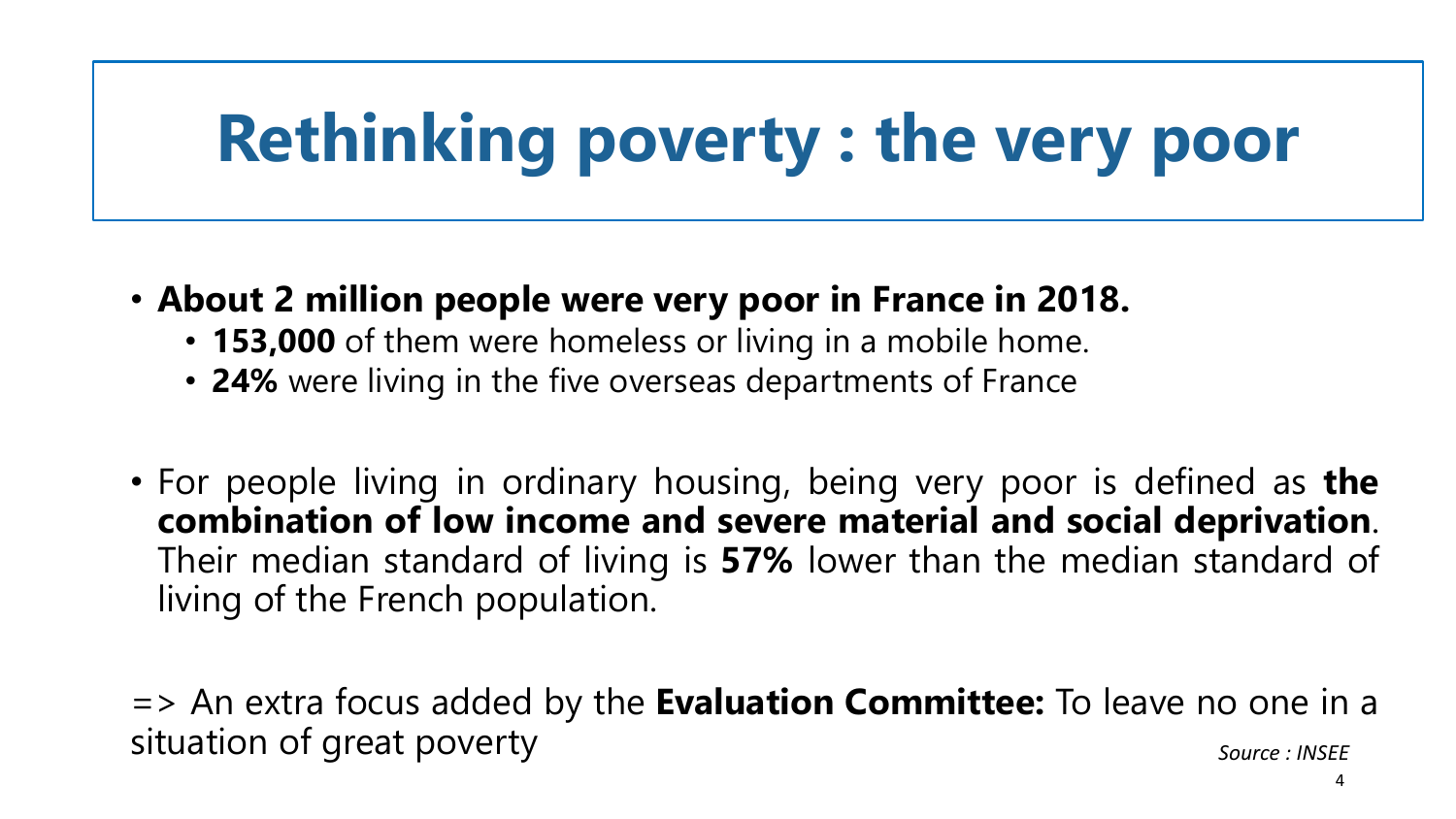# **Rethinking poverty : the very poor**

- **About 2 million people were very poor in France in 2018.**
	- **153,000** of them were homeless or living in a mobile home.
	- **24%** were living in the five overseas departments of France
- For people living in ordinary housing, being very poor is defined as **the combination of low income and severe material and social deprivation**. Their median standard of living is **57%** lower than the median standard of living of the French population.

=> An extra focus added by the **Evaluation Committee:** To leave no one in a situation of great poverty *Source : INSEE*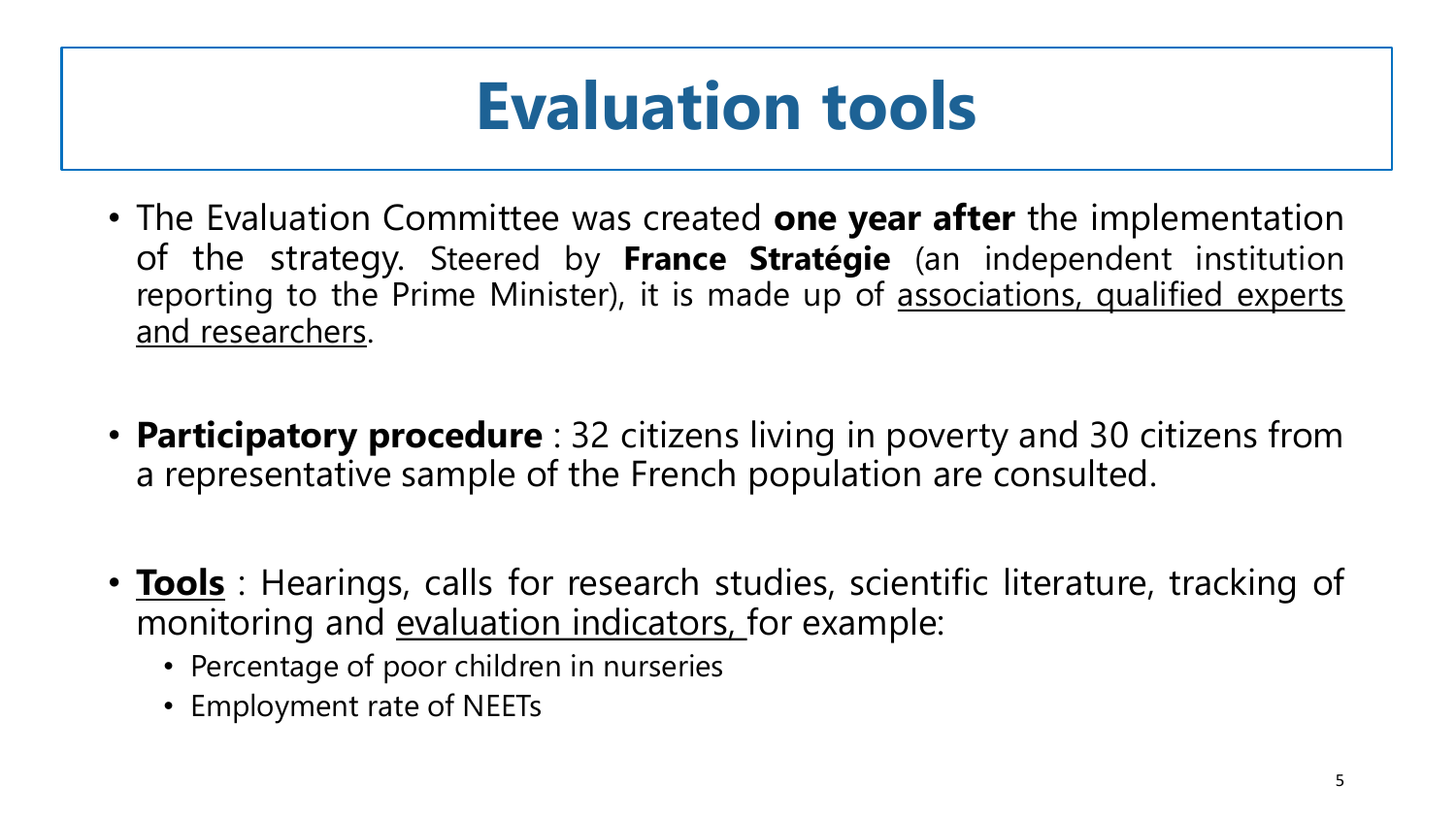## **Evaluation tools**

- The Evaluation Committee was created **one year after** the implementation of the strategy. Steered by **France Stratégie** (an independent institution reporting to the Prime Minister), it is made up of associations, qualified experts and researchers.
- **Participatory procedure** : 32 citizens living in poverty and 30 citizens from a representative sample of the French population are consulted.
- **Tools**: Hearings, calls for research studies, scientific literature, tracking of monitoring and evaluation indicators, for example:
	- Percentage of poor children in nurseries
	- Employment rate of NEETs